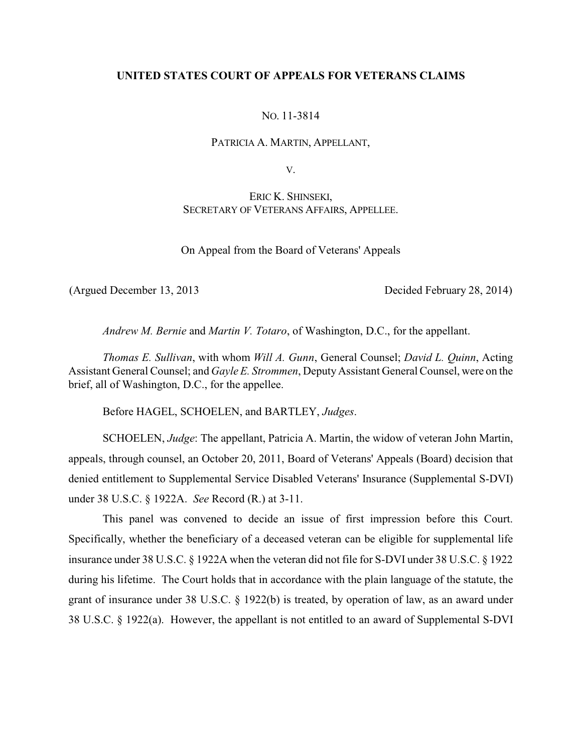## **UNITED STATES COURT OF APPEALS FOR VETERANS CLAIMS**

NO. 11-3814

PATRICIA A. MARTIN, APPELLANT,

V.

ERIC K. SHINSEKI, SECRETARY OF VETERANS AFFAIRS, APPELLEE.

On Appeal from the Board of Veterans' Appeals

(Argued December 13, 2013 Decided February 28, 2014)

*Andrew M. Bernie* and *Martin V. Totaro*, of Washington, D.C., for the appellant.

*Thomas E. Sullivan*, with whom *Will A. Gunn*, General Counsel; *David L. Quinn*, Acting Assistant General Counsel; and *Gayle E. Strommen*, Deputy Assistant General Counsel, were on the brief, all of Washington, D.C., for the appellee.

Before HAGEL, SCHOELEN, and BARTLEY, *Judges*.

SCHOELEN, *Judge*: The appellant, Patricia A. Martin, the widow of veteran John Martin, appeals, through counsel, an October 20, 2011, Board of Veterans' Appeals (Board) decision that denied entitlement to Supplemental Service Disabled Veterans' Insurance (Supplemental S-DVI) under 38 U.S.C. § 1922A. *See* Record (R.) at 3-11.

This panel was convened to decide an issue of first impression before this Court. Specifically, whether the beneficiary of a deceased veteran can be eligible for supplemental life insurance under 38 U.S.C. § 1922A when the veteran did not file for S-DVI under 38 U.S.C. § 1922 during his lifetime. The Court holds that in accordance with the plain language of the statute, the grant of insurance under 38 U.S.C. § 1922(b) is treated, by operation of law, as an award under 38 U.S.C. § 1922(a). However, the appellant is not entitled to an award of Supplemental S-DVI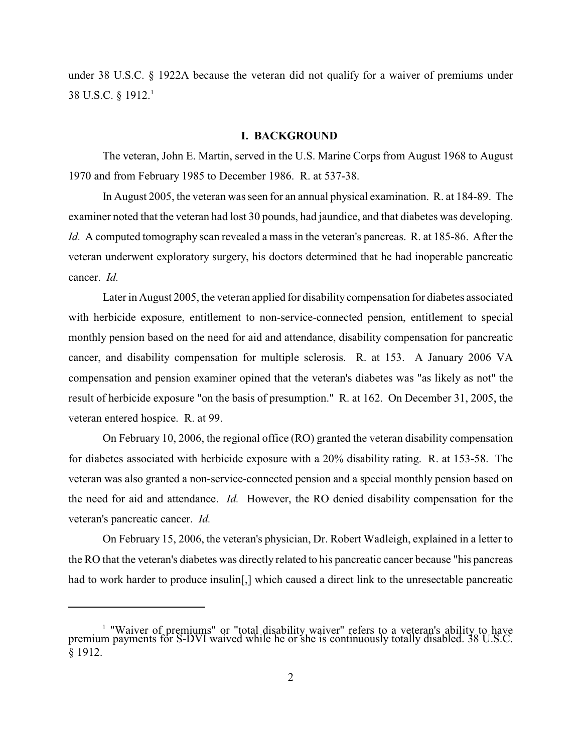under 38 U.S.C. § 1922A because the veteran did not qualify for a waiver of premiums under 38 U.S.C. § 1912.<sup>1</sup>

#### **I. BACKGROUND**

The veteran, John E. Martin, served in the U.S. Marine Corps from August 1968 to August 1970 and from February 1985 to December 1986. R. at 537-38.

In August 2005, the veteran was seen for an annual physical examination. R. at 184-89. The examiner noted that the veteran had lost 30 pounds, had jaundice, and that diabetes was developing. *Id.* A computed tomography scan revealed a mass in the veteran's pancreas. R. at 185-86. After the veteran underwent exploratory surgery, his doctors determined that he had inoperable pancreatic cancer. *Id.* 

Later in August 2005, the veteran applied for disability compensation for diabetes associated with herbicide exposure, entitlement to non-service-connected pension, entitlement to special monthly pension based on the need for aid and attendance, disability compensation for pancreatic cancer, and disability compensation for multiple sclerosis. R. at 153. A January 2006 VA compensation and pension examiner opined that the veteran's diabetes was "as likely as not" the result of herbicide exposure "on the basis of presumption." R. at 162. On December 31, 2005, the veteran entered hospice. R. at 99.

On February 10, 2006, the regional office (RO) granted the veteran disability compensation for diabetes associated with herbicide exposure with a 20% disability rating. R. at 153-58. The veteran was also granted a non-service-connected pension and a special monthly pension based on the need for aid and attendance. *Id.* However, the RO denied disability compensation for the veteran's pancreatic cancer. *Id.*

On February 15, 2006, the veteran's physician, Dr. Robert Wadleigh, explained in a letter to the RO that the veteran's diabetes was directly related to his pancreatic cancer because "his pancreas had to work harder to produce insulin<sup>[1]</sup>, which caused a direct link to the unresectable pancreatic

<sup>&</sup>lt;sup>1</sup> "Waiver of premiums" or "total disability waiver" refers to a veteran's ability to have premium payments for S-DVI waived while he or she is continuously totally disabled. 38 U.S.C. § 1912.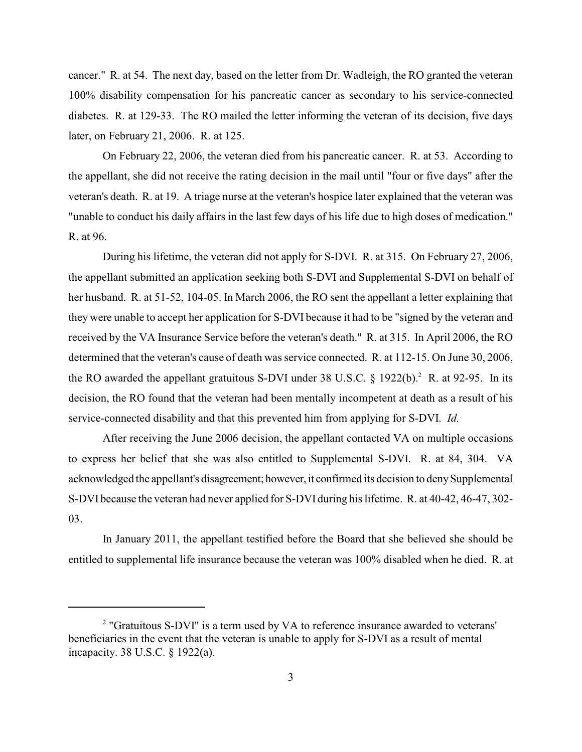cancer." R. at 54. The next day, based on the letter from Dr. Wadleigh, the RO granted the veteran 100% disability compensation for his pancreatic cancer as secondary to his service-connected diabetes. R. at 129-33. The RO mailed the letter informing the veteran of its decision, five days later, on February 21, 2006. R. at 125.

On February 22, 2006, the veteran died from his pancreatic cancer. R. at 53. According to the appellant, she did not receive the rating decision in the mail until "four or five days" after the veteran's death. R. at 19. A triage nurse at the veteran's hospice later explained that the veteran was "unable to conduct his daily affairs in the last few days of his life due to high doses of medication." R. at 96.

During his lifetime, the veteran did not apply for S-DVI. R. at 315. On February 27, 2006, the appellant submitted an application seeking both S-DVI and Supplemental S-DVI on behalf of her husband. R. at 51-52, 104-05. In March 2006, the RO sent the appellant a letter explaining that they were unable to accept her application for S-DVI because it had to be "signed by the veteran and received by the VA Insurance Service before the veteran's death." R. at 315. In April 2006, the RO determined that the veteran's cause of death was service connected. R. at 112-15. On June 30, 2006, the RO awarded the appellant gratuitous S-DVI under 38 U.S.C.  $\S$  1922(b).<sup>2</sup> R. at 92-95. In its decision, the RO found that the veteran had been mentally incompetent at death as a result of his service-connected disability and that this prevented him from applying for S-DVI. *Id.* 

After receiving the June 2006 decision, the appellant contacted VA on multiple occasions to express her belief that she was also entitled to Supplemental S-DVI. R. at 84, 304. VA acknowledged the appellant's disagreement; however, it confirmed its decision to deny Supplemental S-DVI because the veteran had never applied for S-DVI during his lifetime. R. at 40-42, 46-47, 302- 03.

In January 2011, the appellant testified before the Board that she believed she should be entitled to supplemental life insurance because the veteran was 100% disabled when he died. R. at

<sup>&</sup>lt;sup>2</sup> "Gratuitous S-DVI" is a term used by VA to reference insurance awarded to veterans' beneficiaries in the event that the veteran is unable to apply for S-DVI as a result of mental incapacity. 38 U.S.C. § 1922(a).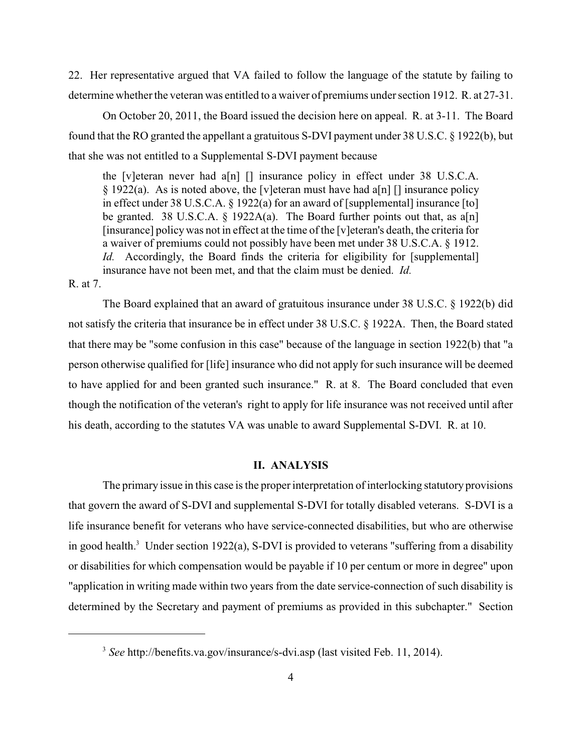22. Her representative argued that VA failed to follow the language of the statute by failing to determine whether the veteran was entitled to a waiver of premiums under section 1912. R. at 27-31.

On October 20, 2011, the Board issued the decision here on appeal. R. at 3-11. The Board found that the RO granted the appellant a gratuitous S-DVI payment under 38 U.S.C. § 1922(b), but that she was not entitled to a Supplemental S-DVI payment because

the [v]eteran never had  $a[n]$  [] insurance policy in effect under 38 U.S.C.A.  $\S$  1922(a). As is noted above, the [v]eteran must have had a[n] [] insurance policy in effect under 38 U.S.C.A. § 1922(a) for an award of [supplemental] insurance [to] be granted. 38 U.S.C.A. § 1922A(a). The Board further points out that, as  $a[n]$ [insurance] policywas not in effect at the time of the [v]eteran's death, the criteria for a waiver of premiums could not possibly have been met under 38 U.S.C.A. § 1912. *Id.* Accordingly, the Board finds the criteria for eligibility for [supplemental] insurance have not been met, and that the claim must be denied. *Id.* 

R. at 7.

The Board explained that an award of gratuitous insurance under 38 U.S.C. § 1922(b) did not satisfy the criteria that insurance be in effect under 38 U.S.C. § 1922A. Then, the Board stated that there may be "some confusion in this case" because of the language in section 1922(b) that "a person otherwise qualified for [life] insurance who did not apply for such insurance will be deemed to have applied for and been granted such insurance." R. at 8. The Board concluded that even though the notification of the veteran's right to apply for life insurance was not received until after his death, according to the statutes VA was unable to award Supplemental S-DVI. R. at 10.

## **II. ANALYSIS**

The primary issue in this case is the proper interpretation of interlocking statutory provisions that govern the award of S-DVI and supplemental S-DVI for totally disabled veterans. S-DVI is a life insurance benefit for veterans who have service-connected disabilities, but who are otherwise in good health.<sup>3</sup> Under section 1922(a), S-DVI is provided to veterans "suffering from a disability or disabilities for which compensation would be payable if 10 per centum or more in degree" upon "application in writing made within two years from the date service-connection of such disability is determined by the Secretary and payment of premiums as provided in this subchapter." Section

<sup>&</sup>lt;sup>3</sup> See http://benefits.va.gov/insurance/s-dvi.asp (last visited Feb. 11, 2014).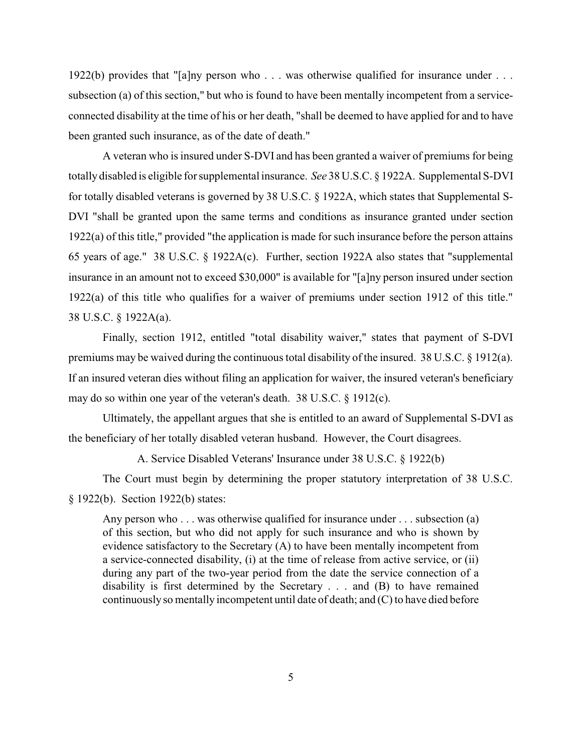1922(b) provides that "[a]ny person who . . . was otherwise qualified for insurance under . . . subsection (a) of this section," but who is found to have been mentally incompetent from a serviceconnected disability at the time of his or her death, "shall be deemed to have applied for and to have been granted such insurance, as of the date of death."

A veteran who is insured under S-DVI and has been granted a waiver of premiums for being totallydisabled is eligible for supplemental insurance. *See* 38 U.S.C. § 1922A. Supplemental S-DVI for totally disabled veterans is governed by 38 U.S.C. § 1922A, which states that Supplemental S-DVI "shall be granted upon the same terms and conditions as insurance granted under section 1922(a) of this title," provided "the application is made for such insurance before the person attains 65 years of age." 38 U.S.C. § 1922A(c). Further, section 1922A also states that "supplemental insurance in an amount not to exceed \$30,000" is available for "[a]ny person insured under section 1922(a) of this title who qualifies for a waiver of premiums under section 1912 of this title." 38 U.S.C. § 1922A(a).

Finally, section 1912, entitled "total disability waiver," states that payment of S-DVI premiums may be waived during the continuous total disability of the insured. 38 U.S.C. § 1912(a). If an insured veteran dies without filing an application for waiver, the insured veteran's beneficiary may do so within one year of the veteran's death. 38 U.S.C. § 1912(c).

Ultimately, the appellant argues that she is entitled to an award of Supplemental S-DVI as the beneficiary of her totally disabled veteran husband. However, the Court disagrees.

A. Service Disabled Veterans' Insurance under 38 U.S.C. § 1922(b)

The Court must begin by determining the proper statutory interpretation of 38 U.S.C. § 1922(b). Section 1922(b) states:

Any person who . . . was otherwise qualified for insurance under . . . subsection (a) of this section, but who did not apply for such insurance and who is shown by evidence satisfactory to the Secretary (A) to have been mentally incompetent from a service-connected disability, (i) at the time of release from active service, or (ii) during any part of the two-year period from the date the service connection of a disability is first determined by the Secretary . . . and (B) to have remained continuously so mentally incompetent until date of death; and (C) to have died before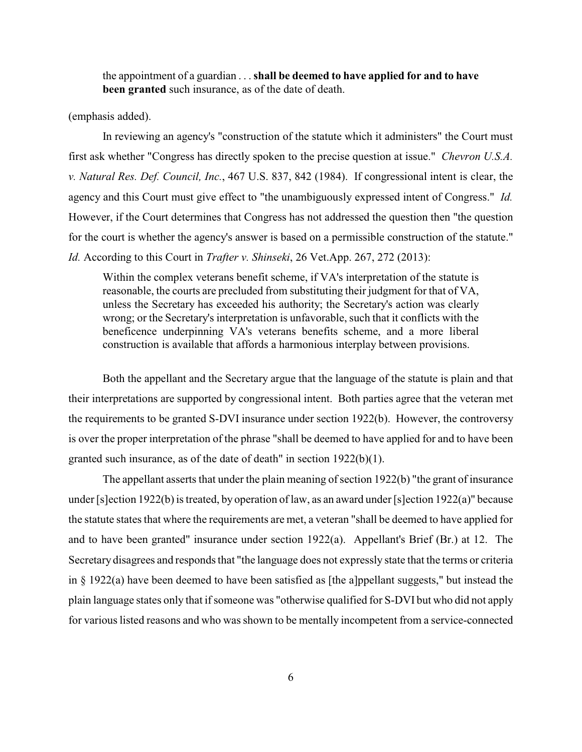the appointment of a guardian . . . **shall be deemed to have applied for and to have been granted** such insurance, as of the date of death.

### (emphasis added).

In reviewing an agency's "construction of the statute which it administers" the Court must first ask whether "Congress has directly spoken to the precise question at issue." *Chevron U.S.A. v. Natural Res. Def. Council, Inc.*, 467 U.S. 837, 842 (1984). If congressional intent is clear, the agency and this Court must give effect to "the unambiguously expressed intent of Congress." *Id.* However, if the Court determines that Congress has not addressed the question then "the question for the court is whether the agency's answer is based on a permissible construction of the statute." *Id.* According to this Court in *Trafter v. Shinseki*, 26 Vet.App. 267, 272 (2013):

Within the complex veterans benefit scheme, if VA's interpretation of the statute is reasonable, the courts are precluded from substituting their judgment for that of VA, unless the Secretary has exceeded his authority; the Secretary's action was clearly wrong; or the Secretary's interpretation is unfavorable, such that it conflicts with the beneficence underpinning VA's veterans benefits scheme, and a more liberal construction is available that affords a harmonious interplay between provisions.

Both the appellant and the Secretary argue that the language of the statute is plain and that their interpretations are supported by congressional intent. Both parties agree that the veteran met the requirements to be granted S-DVI insurance under section 1922(b). However, the controversy is over the proper interpretation of the phrase "shall be deemed to have applied for and to have been granted such insurance, as of the date of death" in section 1922(b)(1).

The appellant asserts that under the plain meaning of section 1922(b) "the grant of insurance under [s]ection 1922(b) is treated, by operation of law, as an award under [s]ection 1922(a)" because the statute states that where the requirements are met, a veteran "shall be deemed to have applied for and to have been granted" insurance under section 1922(a). Appellant's Brief (Br.) at 12. The Secretary disagrees and responds that "the language does not expressly state that the terms or criteria in § 1922(a) have been deemed to have been satisfied as [the a]ppellant suggests," but instead the plain language states only that if someone was "otherwise qualified for S-DVI but who did not apply for various listed reasons and who was shown to be mentally incompetent from a service-connected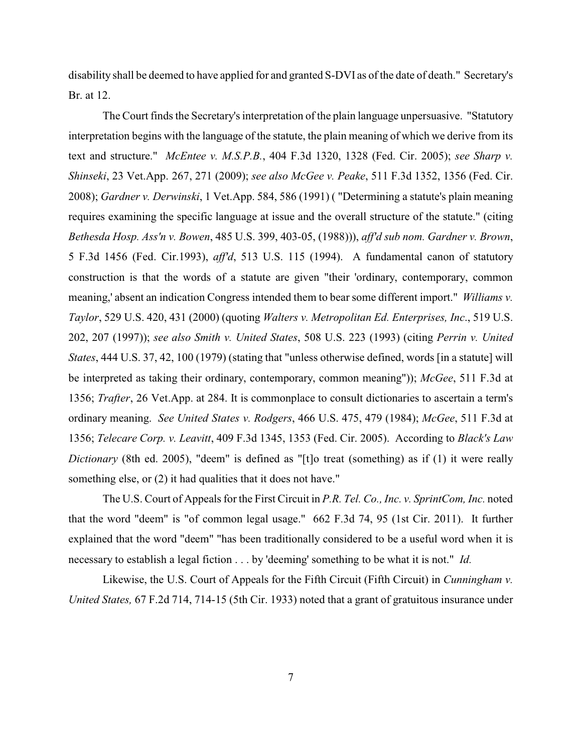disability shall be deemed to have applied for and granted S-DVI as of the date of death." Secretary's Br. at 12.

The Court finds the Secretary's interpretation of the plain language unpersuasive. "Statutory interpretation begins with the language of the statute, the plain meaning of which we derive from its text and structure." *McEntee v. M.S.P.B.*, 404 F.3d 1320, 1328 (Fed. Cir. 2005); *see Sharp v. Shinseki*, 23 Vet.App. 267, 271 (2009); *see also McGee v. Peake*, 511 F.3d 1352, 1356 (Fed. Cir. 2008); *Gardner v. Derwinski*, 1 Vet.App. 584, 586 (1991) ( "Determining a statute's plain meaning requires examining the specific language at issue and the overall structure of the statute." (citing *Bethesda Hosp. Ass'n v. Bowen*, 485 U.S. 399, 403-05, (1988))), *aff'd sub nom. Gardner v. Brown*, 5 F.3d 1456 (Fed. Cir.1993), *aff'd*, 513 U.S. 115 (1994). A fundamental canon of statutory construction is that the words of a statute are given "their 'ordinary, contemporary, common meaning,' absent an indication Congress intended them to bear some different import." *Williams v. Taylor*, 529 U.S. 420, 431 (2000) (quoting *Walters v. Metropolitan Ed. Enterprises, Inc*., 519 U.S. 202, 207 (1997)); *see also Smith v. United States*, 508 U.S. 223 (1993) (citing *Perrin v. United States*, 444 U.S. 37, 42, 100 (1979) (stating that "unless otherwise defined, words [in a statute] will be interpreted as taking their ordinary, contemporary, common meaning")); *McGee*, 511 F.3d at 1356; *Trafter*, 26 Vet.App. at 284. It is commonplace to consult dictionaries to ascertain a term's ordinary meaning. *See United States v. Rodgers*, 466 U.S. 475, 479 (1984); *McGee*, 511 F.3d at 1356; *Telecare Corp. v. Leavitt*, 409 F.3d 1345, 1353 (Fed. Cir. 2005). According to *Black's Law Dictionary* (8th ed. 2005), "deem" is defined as "[t]o treat (something) as if (1) it were really something else, or  $(2)$  it had qualities that it does not have."

The U.S. Court of Appeals for the First Circuit in *P.R. Tel. Co., Inc. v. SprintCom, Inc.* noted that the word "deem" is "of common legal usage." 662 F.3d 74, 95 (1st Cir. 2011). It further explained that the word "deem" "has been traditionally considered to be a useful word when it is necessary to establish a legal fiction . . . by 'deeming' something to be what it is not." *Id.*

Likewise, the U.S. Court of Appeals for the Fifth Circuit (Fifth Circuit) in *Cunningham v. United States,* 67 F.2d 714, 714-15 (5th Cir. 1933) noted that a grant of gratuitous insurance under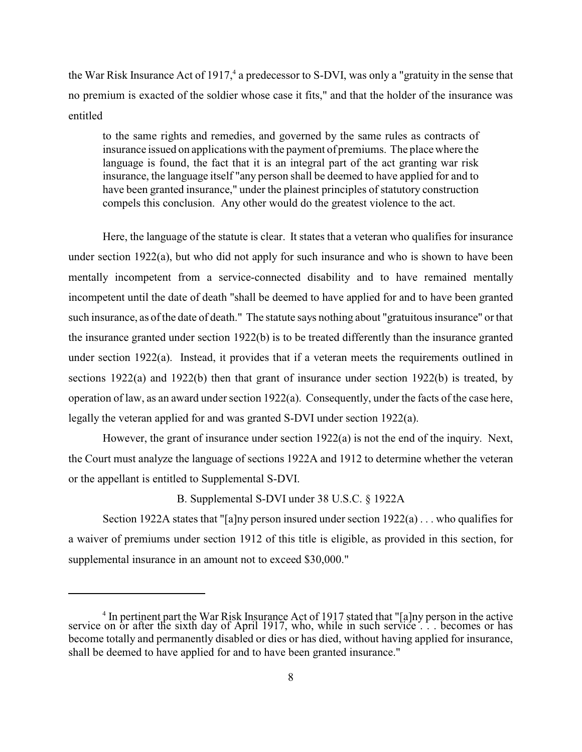the War Risk Insurance Act of  $1917<sup>4</sup>$  a predecessor to S-DVI, was only a "gratuity in the sense that no premium is exacted of the soldier whose case it fits," and that the holder of the insurance was entitled

to the same rights and remedies, and governed by the same rules as contracts of insurance issued on applications with the payment of premiums. The place where the language is found, the fact that it is an integral part of the act granting war risk insurance, the language itself "any person shall be deemed to have applied for and to have been granted insurance," under the plainest principles of statutory construction compels this conclusion. Any other would do the greatest violence to the act.

Here, the language of the statute is clear. It states that a veteran who qualifies for insurance under section 1922(a), but who did not apply for such insurance and who is shown to have been mentally incompetent from a service-connected disability and to have remained mentally incompetent until the date of death "shall be deemed to have applied for and to have been granted such insurance, as of the date of death." The statute says nothing about "gratuitous insurance" or that the insurance granted under section 1922(b) is to be treated differently than the insurance granted under section  $1922(a)$ . Instead, it provides that if a veteran meets the requirements outlined in sections 1922(a) and 1922(b) then that grant of insurance under section 1922(b) is treated, by operation of law, as an award under section 1922(a). Consequently, under the facts of the case here, legally the veteran applied for and was granted S-DVI under section 1922(a).

However, the grant of insurance under section 1922(a) is not the end of the inquiry. Next, the Court must analyze the language of sections 1922A and 1912 to determine whether the veteran or the appellant is entitled to Supplemental S-DVI.

B. Supplemental S-DVI under 38 U.S.C. § 1922A

Section 1922A states that "[a]ny person insured under section  $1922(a)$ ... who qualifies for a waiver of premiums under section 1912 of this title is eligible, as provided in this section, for supplemental insurance in an amount not to exceed \$30,000."

 $<sup>4</sup>$  In pertinent part the War Risk Insurance Act of 1917 stated that "[a]ny person in the active</sup> service on or after the sixth day of April 1917, who, while in such service... becomes or has become totally and permanently disabled or dies or has died, without having applied for insurance, shall be deemed to have applied for and to have been granted insurance."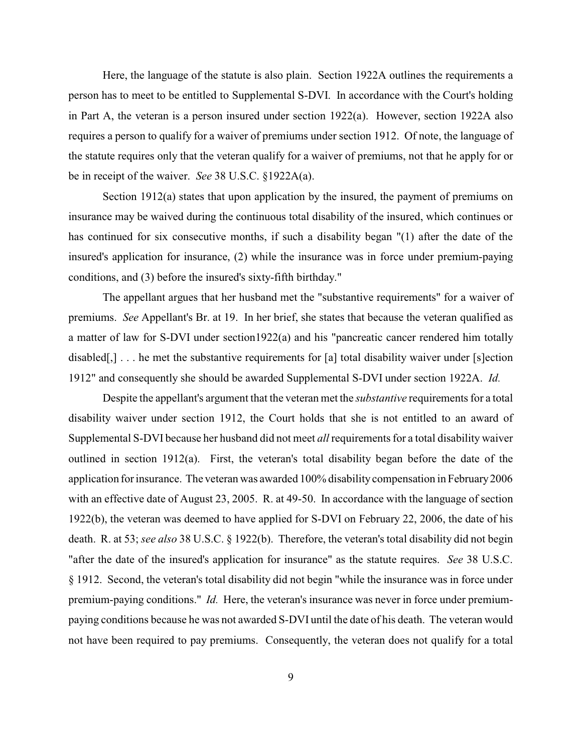Here, the language of the statute is also plain. Section 1922A outlines the requirements a person has to meet to be entitled to Supplemental S-DVI. In accordance with the Court's holding in Part A, the veteran is a person insured under section 1922(a). However, section 1922A also requires a person to qualify for a waiver of premiums under section 1912. Of note, the language of the statute requires only that the veteran qualify for a waiver of premiums, not that he apply for or be in receipt of the waiver. *See* 38 U.S.C. §1922A(a).

Section 1912(a) states that upon application by the insured, the payment of premiums on insurance may be waived during the continuous total disability of the insured, which continues or has continued for six consecutive months, if such a disability began "(1) after the date of the insured's application for insurance, (2) while the insurance was in force under premium-paying conditions, and (3) before the insured's sixty-fifth birthday."

The appellant argues that her husband met the "substantive requirements" for a waiver of premiums. *See* Appellant's Br. at 19. In her brief, she states that because the veteran qualified as a matter of law for S-DVI under section1922(a) and his "pancreatic cancer rendered him totally disabled[,]  $\ldots$  he met the substantive requirements for [a] total disability waiver under [s] ection 1912" and consequently she should be awarded Supplemental S-DVI under section 1922A. *Id.* 

Despite the appellant's argument that the veteran met the *substantive* requirements for a total disability waiver under section 1912, the Court holds that she is not entitled to an award of Supplemental S-DVI because her husband did not meet *all* requirements for a total disability waiver outlined in section 1912(a). First, the veteran's total disability began before the date of the application for insurance. The veteran was awarded 100% disability compensation in February2006 with an effective date of August 23, 2005. R. at 49-50. In accordance with the language of section 1922(b), the veteran was deemed to have applied for S-DVI on February 22, 2006, the date of his death. R. at 53; *see also* 38 U.S.C. § 1922(b). Therefore, the veteran's total disability did not begin "after the date of the insured's application for insurance" as the statute requires. *See* 38 U.S.C. § 1912. Second, the veteran's total disability did not begin "while the insurance was in force under premium-paying conditions." *Id.* Here, the veteran's insurance was never in force under premiumpaying conditions because he was not awarded S-DVI until the date of his death. The veteran would not have been required to pay premiums. Consequently, the veteran does not qualify for a total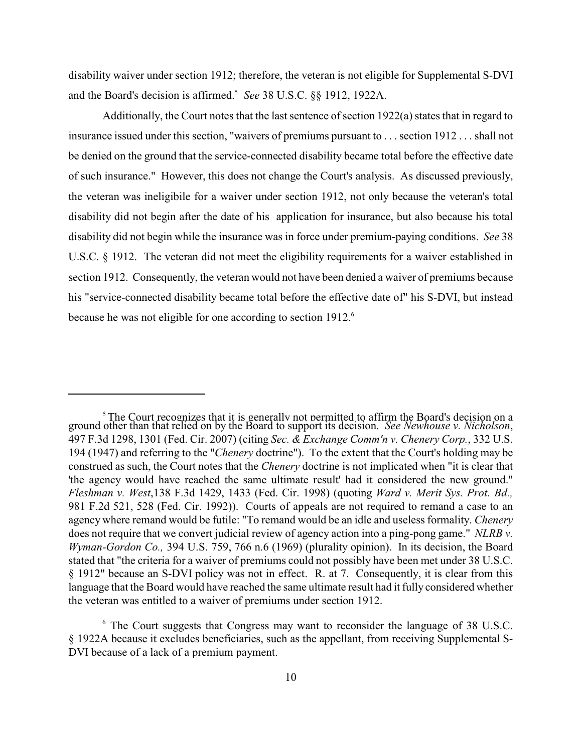disability waiver under section 1912; therefore, the veteran is not eligible for Supplemental S-DVI and the Board's decision is affirmed.<sup>5</sup> See 38 U.S.C. §§ 1912, 1922A.

Additionally, the Court notes that the last sentence of section  $1922(a)$  states that in regard to insurance issued under this section, "waivers of premiums pursuant to . . . section 1912 . . . shall not be denied on the ground that the service-connected disability became total before the effective date of such insurance." However, this does not change the Court's analysis. As discussed previously, the veteran was ineligibile for a waiver under section 1912, not only because the veteran's total disability did not begin after the date of his application for insurance, but also because his total disability did not begin while the insurance was in force under premium-paying conditions. *See* 38 U.S.C. § 1912. The veteran did not meet the eligibility requirements for a waiver established in section 1912. Consequently, the veteran would not have been denied a waiver of premiums because his "service-connected disability became total before the effective date of" his S-DVI, but instead because he was not eligible for one according to section 1912.<sup>6</sup>

<sup>&</sup>lt;sup>5</sup> The Court recognizes that it is generally not permitted to affirm the Board's decision on a ground other than that relied on by the Board to support its decision. *See Newhouse v. Nicholson*, 497 F.3d 1298, 1301 (Fed. Cir. 2007) (citing *Sec. & Exchange Comm'n v. Chenery Corp.*, 332 U.S. 194 (1947) and referring to the "*Chenery* doctrine"). To the extent that the Court's holding may be construed as such, the Court notes that the *Chenery* doctrine is not implicated when "it is clear that 'the agency would have reached the same ultimate result' had it considered the new ground." *Fleshman v. West*,138 F.3d 1429, 1433 (Fed. Cir. 1998) (quoting *Ward v. Merit Sys. Prot. Bd.,* 981 F.2d 521, 528 (Fed. Cir. 1992)). Courts of appeals are not required to remand a case to an agency where remand would be futile: "To remand would be an idle and useless formality. *Chenery* does not require that we convert judicial review of agency action into a ping-pong game." *NLRB v. Wyman-Gordon Co.,* 394 U.S. 759, 766 n.6 (1969) (plurality opinion). In its decision, the Board stated that "the criteria for a waiver of premiums could not possibly have been met under 38 U.S.C. § 1912" because an S-DVI policy was not in effect. R. at 7. Consequently, it is clear from this language that the Board would have reached the same ultimate result had it fully considered whether the veteran was entitled to a waiver of premiums under section 1912.

 $6$  The Court suggests that Congress may want to reconsider the language of 38 U.S.C. § 1922A because it excludes beneficiaries, such as the appellant, from receiving Supplemental S-DVI because of a lack of a premium payment.